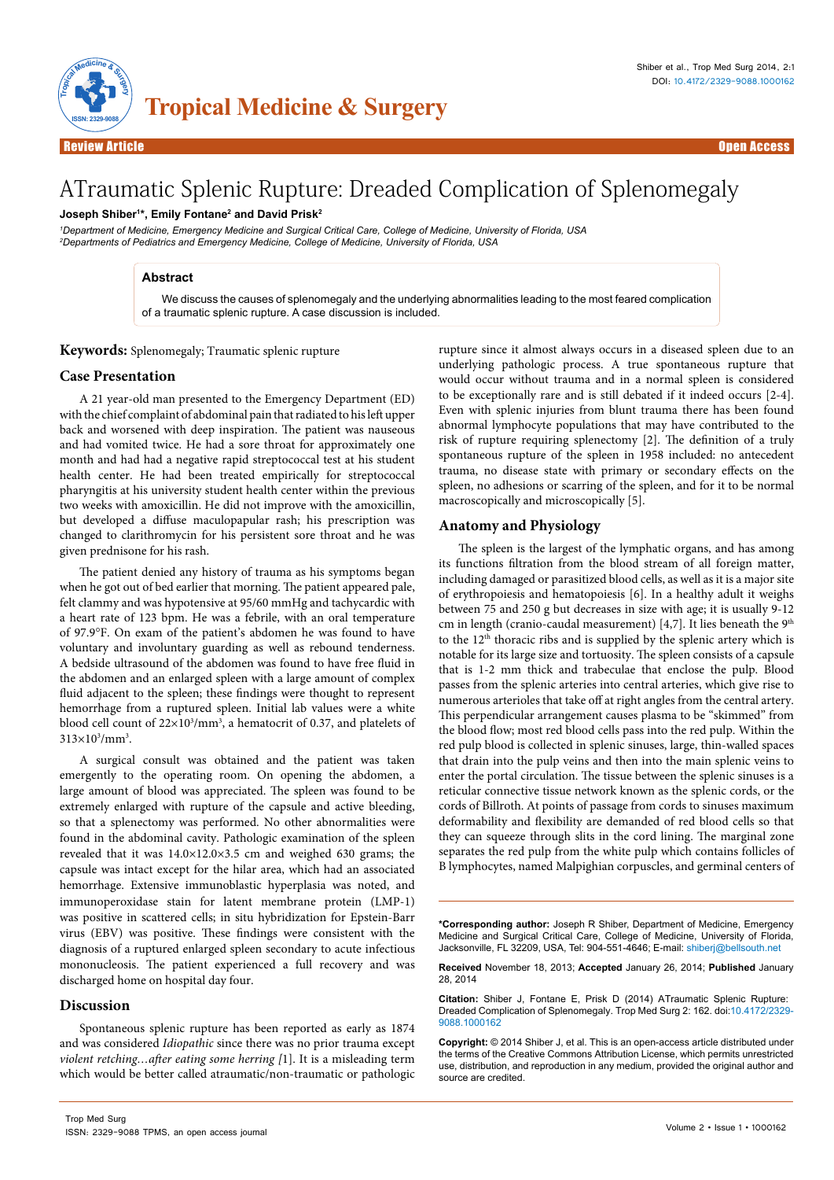

# ATraumatic Splenic Rupture: Dreaded Complication of Splenomegaly

# **Joseph Shiber1 \*, Emily Fontane2 and David Prisk2**

*1 Department of Medicine, Emergency Medicine and Surgical Critical Care, College of Medicine, University of Florida, USA 2 Departments of Pediatrics and Emergency Medicine, College of Medicine, University of Florida, USA*

#### **Abstract**

We discuss the causes of splenomegaly and the underlying abnormalities leading to the most feared complication of a traumatic splenic rupture. A case discussion is included.

**Keywords:** Splenomegaly; Traumatic splenic rupture

### **Case Presentation**

A 21 year-old man presented to the Emergency Department (ED) with the chief complaint of abdominal pain that radiated to his left upper back and worsened with deep inspiration. The patient was nauseous and had vomited twice. He had a sore throat for approximately one month and had had a negative rapid streptococcal test at his student health center. He had been treated empirically for streptococcal pharyngitis at his university student health center within the previous two weeks with amoxicillin. He did not improve with the amoxicillin, but developed a diffuse maculopapular rash; his prescription was changed to clarithromycin for his persistent sore throat and he was given prednisone for his rash.

The patient denied any history of trauma as his symptoms began when he got out of bed earlier that morning. The patient appeared pale, felt clammy and was hypotensive at 95/60 mmHg and tachycardic with a heart rate of 123 bpm. He was a febrile, with an oral temperature of 97.9°F. On exam of the patient's abdomen he was found to have voluntary and involuntary guarding as well as rebound tenderness. A bedside ultrasound of the abdomen was found to have free fluid in the abdomen and an enlarged spleen with a large amount of complex fluid adjacent to the spleen; these findings were thought to represent hemorrhage from a ruptured spleen. Initial lab values were a white blood cell count of 22×10<sup>3</sup>/mm<sup>3</sup>, a hematocrit of 0.37, and platelets of  $313\times10^{3}/$ mm<sup>3</sup>.

A surgical consult was obtained and the patient was taken emergently to the operating room. On opening the abdomen, a large amount of blood was appreciated. The spleen was found to be extremely enlarged with rupture of the capsule and active bleeding, so that a splenectomy was performed. No other abnormalities were found in the abdominal cavity. Pathologic examination of the spleen revealed that it was 14.0×12.0×3.5 cm and weighed 630 grams; the capsule was intact except for the hilar area, which had an associated hemorrhage. Extensive immunoblastic hyperplasia was noted, and immunoperoxidase stain for latent membrane protein (LMP-1) was positive in scattered cells; in situ hybridization for Epstein-Barr virus (EBV) was positive. These findings were consistent with the diagnosis of a ruptured enlarged spleen secondary to acute infectious mononucleosis. The patient experienced a full recovery and was discharged home on hospital day four.

#### **Discussion**

Spontaneous splenic rupture has been reported as early as 1874 and was considered *Idiopathic* since there was no prior trauma except *violent retching…after eating some herring [*1]. It is a misleading term which would be better called atraumatic/non-traumatic or pathologic

rupture since it almost always occurs in a diseased spleen due to an underlying pathologic process. A true spontaneous rupture that would occur without trauma and in a normal spleen is considered to be exceptionally rare and is still debated if it indeed occurs [2-4]. Even with splenic injuries from blunt trauma there has been found abnormal lymphocyte populations that may have contributed to the risk of rupture requiring splenectomy [2]. The definition of a truly spontaneous rupture of the spleen in 1958 included: no antecedent trauma, no disease state with primary or secondary effects on the spleen, no adhesions or scarring of the spleen, and for it to be normal macroscopically and microscopically [5].

# **Anatomy and Physiology**

The spleen is the largest of the lymphatic organs, and has among its functions filtration from the blood stream of all foreign matter, including damaged or parasitized blood cells, as well as it is a major site of erythropoiesis and hematopoiesis [6]. In a healthy adult it weighs between 75 and 250 g but decreases in size with age; it is usually 9-12 cm in length (cranio-caudal measurement) [4,7]. It lies beneath the  $9<sup>th</sup>$ to the 12<sup>th</sup> thoracic ribs and is supplied by the splenic artery which is notable for its large size and tortuosity. The spleen consists of a capsule that is 1-2 mm thick and trabeculae that enclose the pulp. Blood passes from the splenic arteries into central arteries, which give rise to numerous arterioles that take off at right angles from the central artery. This perpendicular arrangement causes plasma to be "skimmed" from the blood flow; most red blood cells pass into the red pulp. Within the red pulp blood is collected in splenic sinuses, large, thin-walled spaces that drain into the pulp veins and then into the main splenic veins to enter the portal circulation. The tissue between the splenic sinuses is a reticular connective tissue network known as the splenic cords, or the cords of Billroth. At points of passage from cords to sinuses maximum deformability and flexibility are demanded of red blood cells so that they can squeeze through slits in the cord lining. The marginal zone separates the red pulp from the white pulp which contains follicles of B lymphocytes, named Malpighian corpuscles, and germinal centers of

**Received** November 18, 2013; **Accepted** January 26, 2014; **Published** January 28, 2014

**Citation:** Shiber J, Fontane E, Prisk D (2014) ATraumatic Splenic Rupture: Dreaded Complication of Splenomegaly. Trop Med Surg 2: 162. doi:10.4172/2329- 9088.1000162

**Copyright:** © 2014 Shiber J, et al. This is an open-access article distributed under the terms of the Creative Commons Attribution License, which permits unrestricted use, distribution, and reproduction in any medium, provided the original author and source are credited.

**<sup>\*</sup>Corresponding author:** Joseph R Shiber, Department of Medicine, Emergency Medicine and Surgical Critical Care, College of Medicine, University of Florida, Jacksonville, FL 32209, USA, Tel: 904-551-4646; E-mail: shiberj@bellsouth.net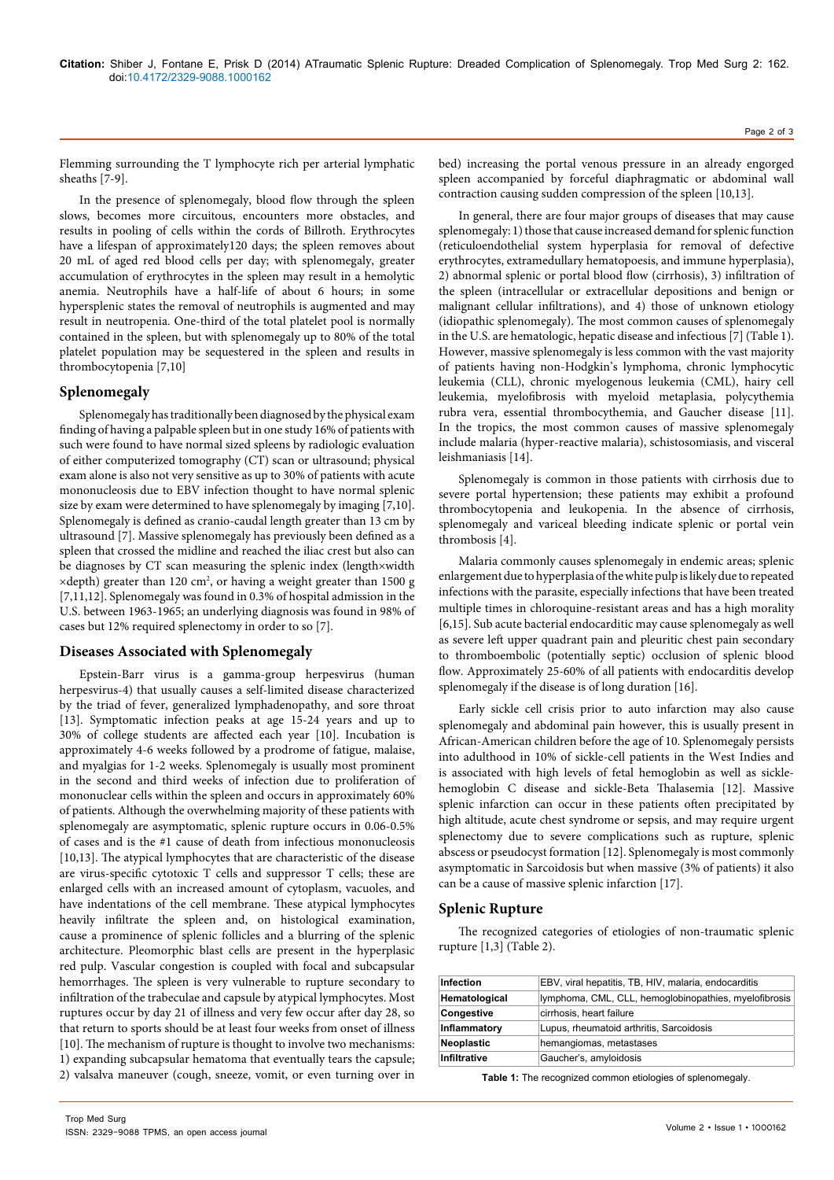Flemming surrounding the T lymphocyte rich per arterial lymphatic sheaths [7-9].

In the presence of splenomegaly, blood flow through the spleen slows, becomes more circuitous, encounters more obstacles, and results in pooling of cells within the cords of Billroth. Erythrocytes have a lifespan of approximately120 days; the spleen removes about 20 mL of aged red blood cells per day; with splenomegaly, greater accumulation of erythrocytes in the spleen may result in a hemolytic anemia. Neutrophils have a half-life of about 6 hours; in some hypersplenic states the removal of neutrophils is augmented and may result in neutropenia. One-third of the total platelet pool is normally contained in the spleen, but with splenomegaly up to 80% of the total platelet population may be sequestered in the spleen and results in thrombocytopenia [7,10]

#### **Splenomegaly**

Splenomegaly has traditionally been diagnosed by the physical exam finding of having a palpable spleen but in one study 16% of patients with such were found to have normal sized spleens by radiologic evaluation of either computerized tomography (CT) scan or ultrasound; physical exam alone is also not very sensitive as up to 30% of patients with acute mononucleosis due to EBV infection thought to have normal splenic size by exam were determined to have splenomegaly by imaging [7,10]. Splenomegaly is defined as cranio-caudal length greater than 13 cm by ultrasound [7]. Massive splenomegaly has previously been defined as a spleen that crossed the midline and reached the iliac crest but also can be diagnoses by CT scan measuring the splenic index (length×width  $\times$ depth) greater than 120 cm<sup>2</sup>, or having a weight greater than 1500 g [7,11,12]. Splenomegaly was found in 0.3% of hospital admission in the U.S. between 1963-1965; an underlying diagnosis was found in 98% of cases but 12% required splenectomy in order to so [7].

# **Diseases Associated with Splenomegaly**

Epstein-Barr virus is a gamma-group herpesvirus (human herpesvirus-4) that usually causes a self-limited disease characterized by the triad of fever, generalized lymphadenopathy, and sore throat [13]. Symptomatic infection peaks at age 15-24 years and up to 30% of college students are affected each year [10]. Incubation is approximately 4-6 weeks followed by a prodrome of fatigue, malaise, and myalgias for 1-2 weeks. Splenomegaly is usually most prominent in the second and third weeks of infection due to proliferation of mononuclear cells within the spleen and occurs in approximately 60% of patients. Although the overwhelming majority of these patients with splenomegaly are asymptomatic, splenic rupture occurs in 0.06-0.5% of cases and is the #1 cause of death from infectious mononucleosis [10,13]. The atypical lymphocytes that are characteristic of the disease are virus-specific cytotoxic T cells and suppressor T cells; these are enlarged cells with an increased amount of cytoplasm, vacuoles, and have indentations of the cell membrane. These atypical lymphocytes heavily infiltrate the spleen and, on histological examination, cause a prominence of splenic follicles and a blurring of the splenic architecture. Pleomorphic blast cells are present in the hyperplasic red pulp. Vascular congestion is coupled with focal and subcapsular hemorrhages. The spleen is very vulnerable to rupture secondary to infiltration of the trabeculae and capsule by atypical lymphocytes. Most ruptures occur by day 21 of illness and very few occur after day 28, so that return to sports should be at least four weeks from onset of illness [10]. The mechanism of rupture is thought to involve two mechanisms: 1) expanding subcapsular hematoma that eventually tears the capsule; 2) valsalva maneuver (cough, sneeze, vomit, or even turning over in bed) increasing the portal venous pressure in an already engorged spleen accompanied by forceful diaphragmatic or abdominal wall contraction causing sudden compression of the spleen [10,13].

In general, there are four major groups of diseases that may cause splenomegaly: 1) those that cause increased demand for splenic function (reticuloendothelial system hyperplasia for removal of defective erythrocytes, extramedullary hematopoesis, and immune hyperplasia), 2) abnormal splenic or portal blood flow (cirrhosis), 3) infiltration of the spleen (intracellular or extracellular depositions and benign or malignant cellular infiltrations), and 4) those of unknown etiology (idiopathic splenomegaly). The most common causes of splenomegaly in the U.S. are hematologic, hepatic disease and infectious [7] (Table 1). However, massive splenomegaly is less common with the vast majority of patients having non-Hodgkin's lymphoma, chronic lymphocytic leukemia (CLL), chronic myelogenous leukemia (CML), hairy cell leukemia, myelofibrosis with myeloid metaplasia, polycythemia rubra vera, essential thrombocythemia, and Gaucher disease [11]. In the tropics, the most common causes of massive splenomegaly include malaria (hyper-reactive malaria), schistosomiasis, and visceral leishmaniasis [14].

Splenomegaly is common in those patients with cirrhosis due to severe portal hypertension; these patients may exhibit a profound thrombocytopenia and leukopenia. In the absence of cirrhosis, splenomegaly and variceal bleeding indicate splenic or portal vein thrombosis [4].

Malaria commonly causes splenomegaly in endemic areas; splenic enlargement due to hyperplasia of the white pulp is likely due to repeated infections with the parasite, especially infections that have been treated multiple times in chloroquine-resistant areas and has a high morality [6,15]. Sub acute bacterial endocarditic may cause splenomegaly as well as severe left upper quadrant pain and pleuritic chest pain secondary to thromboembolic (potentially septic) occlusion of splenic blood flow. Approximately 25-60% of all patients with endocarditis develop splenomegaly if the disease is of long duration [16].

Early sickle cell crisis prior to auto infarction may also cause splenomegaly and abdominal pain however, this is usually present in African-American children before the age of 10. Splenomegaly persists into adulthood in 10% of sickle-cell patients in the West Indies and is associated with high levels of fetal hemoglobin as well as sicklehemoglobin C disease and sickle-Beta Thalasemia [12]. Massive splenic infarction can occur in these patients often precipitated by high altitude, acute chest syndrome or sepsis, and may require urgent splenectomy due to severe complications such as rupture, splenic abscess or pseudocyst formation [12]. Splenomegaly is most commonly asymptomatic in Sarcoidosis but when massive (3% of patients) it also can be a cause of massive splenic infarction [17].

# **Splenic Rupture**

The recognized categories of etiologies of non-traumatic splenic rupture [1,3] (Table 2).

| <b>Infection</b>    | EBV, viral hepatitis, TB, HIV, malaria, endocarditis  |
|---------------------|-------------------------------------------------------|
| Hematological       | lymphoma, CML, CLL, hemoglobinopathies, myelofibrosis |
| Congestive          | cirrhosis, heart failure                              |
| Inflammatory        | Lupus, rheumatoid arthritis, Sarcoidosis              |
| <b>Neoplastic</b>   | hemangiomas, metastases                               |
| <b>Infiltrative</b> | Gaucher's, amyloidosis                                |

**Table 1:** The recognized common etiologies of splenomegaly.